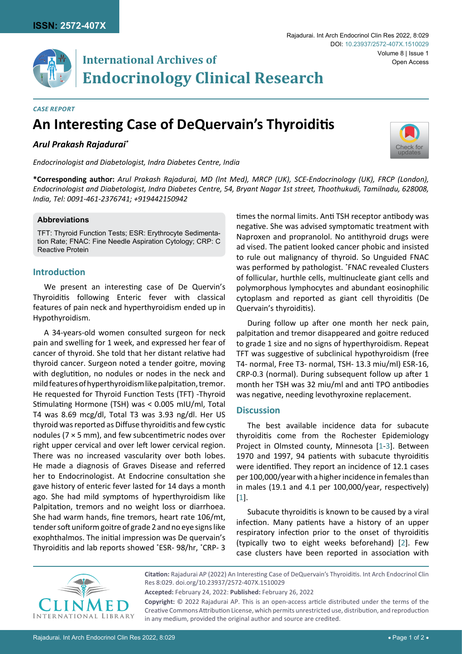

## **International Archives of Endocrinology Clinical Research**

#### *Case Report*

# **An Interesting Case of DeQuervain's Thyroiditis**

## *Arul Prakash Rajadurai\**

*Endocrinologist and Diabetologist, Indra Diabetes Centre, India*

**\*Corresponding author:** *Arul Prakash Rajadurai, MD (lnt Med), MRCP (UK), SCE-Endocrinology (UK), FRCP (London), Endocrinologist and Diabetologist, Indra Diabetes Centre, 54, Bryant Nagar 1st street, Thoothukudi, Tamilnadu, 628008, India, Tel: 0091-461-2376741; +919442150942*

#### **Abbreviations**

TFT: Thyroid Function Tests; ESR: Erythrocyte Sedimentation Rate; FNAC: Fine Needle Aspiration Cytology; CRP: C Reactive Protein

#### **Introduction**

We present an interesting case of De Quervin's Thyroiditis following Enteric fever with classical features of pain neck and hyperthyroidism ended up in Hypothyroidism.

A 34-years-old women consulted surgeon for neck pain and swelling for 1 week, and expressed her fear of cancer of thyroid. She told that her distant relative had thyroid cancer. Surgeon noted a tender goitre, moving with deglutition, no nodules or nodes in the neck and mild features of hyperthyroidism like palpitation, tremor. He requested for Thyroid Function Tests (TFT) -Thyroid Stimulating Hormone (TSH) was < 0.005 mIU/ml, Total T4 was 8.69 mcg/dl, Total T3 was 3.93 ng/dl. Her US thyroid was reported as Diffuse thyroiditis and few cystic nodules ( $7 \times 5$  mm), and few subcentimetric nodes over right upper cervical and over left lower cervical region. There was no increased vascularity over both lobes. He made a diagnosis of Graves Disease and referred her to Endocrinologist. At Endocrine consultation she gave history of enteric fever lasted for 14 days a month ago. She had mild symptoms of hyperthyroidism like Palpitation, tremors and no weight loss or diarrhoea. She had warm hands, fine tremors, heart rate 106/mt, tender soft uniform goitre of grade 2 and no eye signs like exophthalmos. The initial impression was De quervain's Thyroiditis and lab reports showed \* ESR- 98/hr, \* CRP- 3 times the normal limits. Anti TSH receptor antibody was negative. She was advised symptomatic treatment with Naproxen and propranolol. No antithyroid drugs were ad vised. The patient looked cancer phobic and insisted to rule out malignancy of thyroid. So Unguided FNAC was performed by pathologist. \* FNAC revealed Clusters of follicular, hurthle cells, multinucleate giant cells and polymorphous lymphocytes and abundant eosinophilic cytoplasm and reported as giant cell thyroiditis (De Quervain's thyroiditis).

During follow up after one month her neck pain, palpitation and tremor disappeared and goitre reduced to grade 1 size and no signs of hyperthyroidism. Repeat TFT was suggestive of subclinical hypothyroidism (free T4- normal, Free T3- normal, TSH- 13.3 miu/ml) ESR-16, CRP-0.3 (normal). During subsequent follow up after 1 month her TSH was 32 miu/ml and anti TPO antibodies was negative, needing levothyroxine replacement.

#### **Discussion**

The best available incidence data for subacute thyroiditis come from the Rochester Epidemiology Project in Olmsted county, Minnesota [\[1-](#page-1-0)[3\]](#page-1-1). Between 1970 and 1997, 94 patients with subacute thyroiditis were identified. They report an incidence of 12.1 cases per 100,000/year with a higher incidence in females than in males (19.1 and 4.1 per 100,000/year, respectively) [\[1\]](#page-1-0).

Subacute thyroiditis is known to be caused by a viral infection. Many patients have a history of an upper respiratory infection prior to the onset of thyroiditis (typically two to eight weeks beforehand) [[2](#page-1-2)]. Few case clusters have been reported in association with



**Citation:** Rajadurai AP (2022) An Interesting Case of DeQuervain's Thyroiditis. Int Arch Endocrinol Clin Res 8:029. [doi.org/10.23937/2572-407X.1510029](https://doi.org/10.23937/2572-407X.1510029)

**Accepted:** February 24, 2022: **Published:** February 26, 2022

**Copyright:** © 2022 Rajadurai AP. This is an open-access article distributed under the terms of the Creative Commons Attribution License, which permits unrestricted use, distribution, and reproduction in any medium, provided the original author and source are credited.